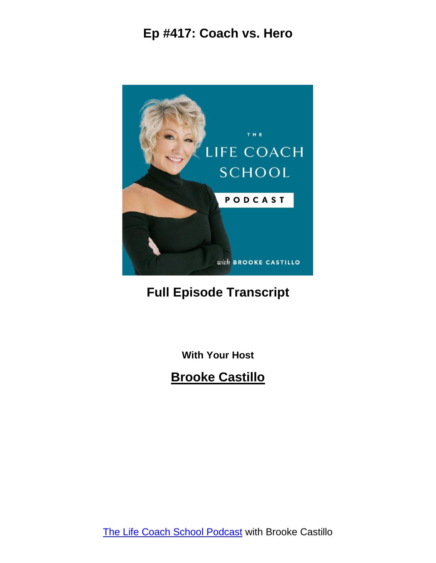

# **Full Episode Transcript**

**With Your Host**

**Brooke Castillo**

The Life Coach School [Podcast](http://www.thelifecoachschool.com/) with Brooke Castillo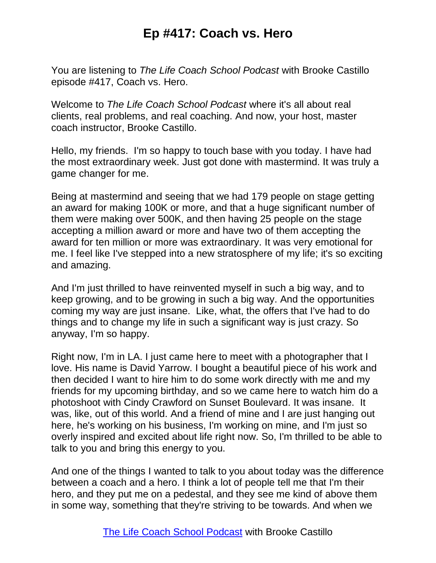You are listening to *The Life Coach School Podcast* with Brooke Castillo episode #417, Coach vs. Hero.

Welcome to *The Life Coach School Podcast* where it's all about real clients, real problems, and real coaching. And now, your host, master coach instructor, Brooke Castillo.

Hello, my friends. I'm so happy to touch base with you today. I have had the most extraordinary week. Just got done with mastermind. It was truly a game changer for me.

Being at mastermind and seeing that we had 179 people on stage getting an award for making 100K or more, and that a huge significant number of them were making over 500K, and then having 25 people on the stage accepting a million award or more and have two of them accepting the award for ten million or more was extraordinary. It was very emotional for me. I feel like I've stepped into a new stratosphere of my life; it's so exciting and amazing.

And I'm just thrilled to have reinvented myself in such a big way, and to keep growing, and to be growing in such a big way. And the opportunities coming my way are just insane. Like, what, the offers that I've had to do things and to change my life in such a significant way is just crazy. So anyway, I'm so happy.

Right now, I'm in LA. I just came here to meet with a photographer that I love. His name is David Yarrow. I bought a beautiful piece of his work and then decided I want to hire him to do some work directly with me and my friends for my upcoming birthday, and so we came here to watch him do a photoshoot with Cindy Crawford on Sunset Boulevard. It was insane. It was, like, out of this world. And a friend of mine and I are just hanging out here, he's working on his business, I'm working on mine, and I'm just so overly inspired and excited about life right now. So, I'm thrilled to be able to talk to you and bring this energy to you.

And one of the things I wanted to talk to you about today was the difference between a coach and a hero. I think a lot of people tell me that I'm their hero, and they put me on a pedestal, and they see me kind of above them in some way, something that they're striving to be towards. And when we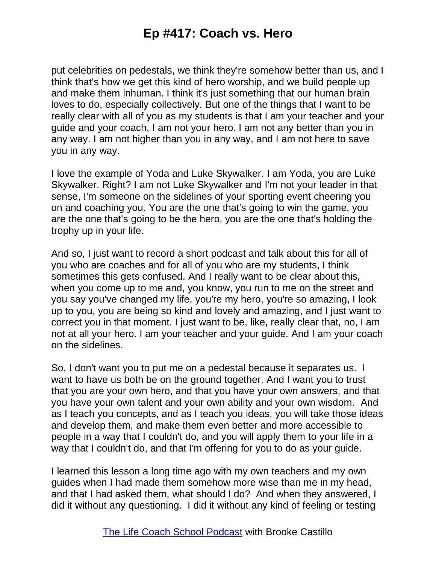put celebrities on pedestals, we think they're somehow better than us, and I think that's how we get this kind of hero worship, and we build people up and make them inhuman. I think it's just something that our human brain loves to do, especially collectively. But one of the things that I want to be really clear with all of you as my students is that I am your teacher and your guide and your coach, I am not your hero. I am not any better than you in any way. I am not higher than you in any way, and I am not here to save you in any way.

I love the example of Yoda and Luke Skywalker. I am Yoda, you are Luke Skywalker. Right? I am not Luke Skywalker and I'm not your leader in that sense, I'm someone on the sidelines of your sporting event cheering you on and coaching you. You are the one that's going to win the game, you are the one that's going to be the hero, you are the one that's holding the trophy up in your life.

And so, I just want to record a short podcast and talk about this for all of you who are coaches and for all of you who are my students, I think sometimes this gets confused. And I really want to be clear about this, when you come up to me and, you know, you run to me on the street and you say you've changed my life, you're my hero, you're so amazing, I look up to you, you are being so kind and lovely and amazing, and I just want to correct you in that moment. I just want to be, like, really clear that, no, I am not at all your hero. I am your teacher and your guide. And I am your coach on the sidelines.

So, I don't want you to put me on a pedestal because it separates us. I want to have us both be on the ground together. And I want you to trust that you are your own hero, and that you have your own answers, and that you have your own talent and your own ability and your own wisdom. And as I teach you concepts, and as I teach you ideas, you will take those ideas and develop them, and make them even better and more accessible to people in a way that I couldn't do, and you will apply them to your life in a way that I couldn't do, and that I'm offering for you to do as your guide.

I learned this lesson a long time ago with my own teachers and my own guides when I had made them somehow more wise than me in my head, and that I had asked them, what should I do? And when they answered, I did it without any questioning. I did it without any kind of feeling or testing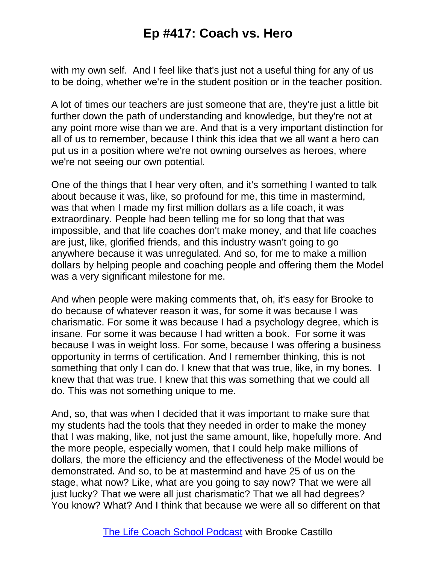with my own self. And I feel like that's just not a useful thing for any of us to be doing, whether we're in the student position or in the teacher position.

A lot of times our teachers are just someone that are, they're just a little bit further down the path of understanding and knowledge, but they're not at any point more wise than we are. And that is a very important distinction for all of us to remember, because I think this idea that we all want a hero can put us in a position where we're not owning ourselves as heroes, where we're not seeing our own potential.

One of the things that I hear very often, and it's something I wanted to talk about because it was, like, so profound for me, this time in mastermind, was that when I made my first million dollars as a life coach, it was extraordinary. People had been telling me for so long that that was impossible, and that life coaches don't make money, and that life coaches are just, like, glorified friends, and this industry wasn't going to go anywhere because it was unregulated. And so, for me to make a million dollars by helping people and coaching people and offering them the Model was a very significant milestone for me.

And when people were making comments that, oh, it's easy for Brooke to do because of whatever reason it was, for some it was because I was charismatic. For some it was because I had a psychology degree, which is insane. For some it was because I had written a book. For some it was because I was in weight loss. For some, because I was offering a business opportunity in terms of certification. And I remember thinking, this is not something that only I can do. I knew that that was true, like, in my bones. I knew that that was true. I knew that this was something that we could all do. This was not something unique to me.

And, so, that was when I decided that it was important to make sure that my students had the tools that they needed in order to make the money that I was making, like, not just the same amount, like, hopefully more. And the more people, especially women, that I could help make millions of dollars, the more the efficiency and the effectiveness of the Model would be demonstrated. And so, to be at mastermind and have 25 of us on the stage, what now? Like, what are you going to say now? That we were all just lucky? That we were all just charismatic? That we all had degrees? You know? What? And I think that because we were all so different on that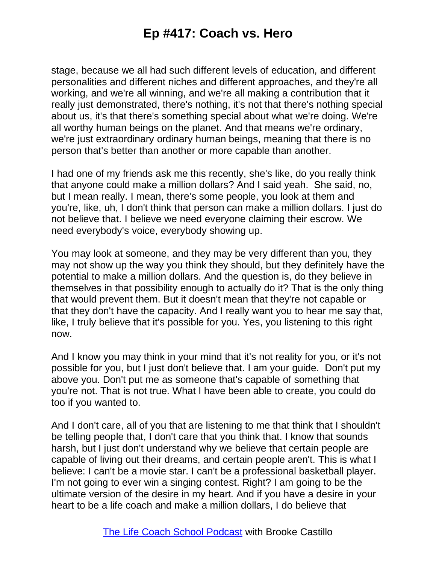stage, because we all had such different levels of education, and different personalities and different niches and different approaches, and they're all working, and we're all winning, and we're all making a contribution that it really just demonstrated, there's nothing, it's not that there's nothing special about us, it's that there's something special about what we're doing. We're all worthy human beings on the planet. And that means we're ordinary, we're just extraordinary ordinary human beings, meaning that there is no person that's better than another or more capable than another.

I had one of my friends ask me this recently, she's like, do you really think that anyone could make a million dollars? And I said yeah. She said, no, but I mean really. I mean, there's some people, you look at them and you're, like, uh, I don't think that person can make a million dollars. I just do not believe that. I believe we need everyone claiming their escrow. We need everybody's voice, everybody showing up.

You may look at someone, and they may be very different than you, they may not show up the way you think they should, but they definitely have the potential to make a million dollars. And the question is, do they believe in themselves in that possibility enough to actually do it? That is the only thing that would prevent them. But it doesn't mean that they're not capable or that they don't have the capacity. And I really want you to hear me say that, like, I truly believe that it's possible for you. Yes, you listening to this right now.

And I know you may think in your mind that it's not reality for you, or it's not possible for you, but I just don't believe that. I am your guide. Don't put my above you. Don't put me as someone that's capable of something that you're not. That is not true. What I have been able to create, you could do too if you wanted to.

And I don't care, all of you that are listening to me that think that I shouldn't be telling people that, I don't care that you think that. I know that sounds harsh, but I just don't understand why we believe that certain people are capable of living out their dreams, and certain people aren't. This is what I believe: I can't be a movie star. I can't be a professional basketball player. I'm not going to ever win a singing contest. Right? I am going to be the ultimate version of the desire in my heart. And if you have a desire in your heart to be a life coach and make a million dollars, I do believe that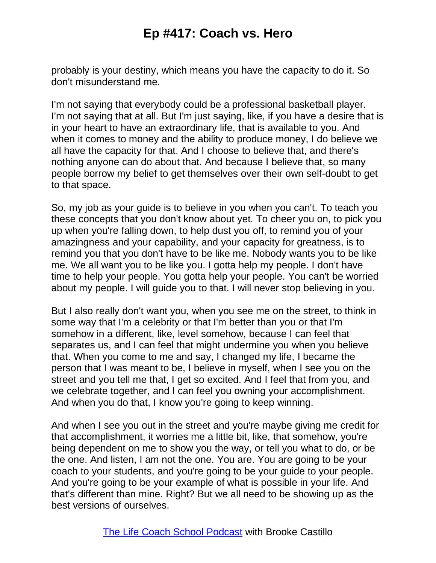probably is your destiny, which means you have the capacity to do it. So don't misunderstand me.

I'm not saying that everybody could be a professional basketball player. I'm not saying that at all. But I'm just saying, like, if you have a desire that is in your heart to have an extraordinary life, that is available to you. And when it comes to money and the ability to produce money, I do believe we all have the capacity for that. And I choose to believe that, and there's nothing anyone can do about that. And because I believe that, so many people borrow my belief to get themselves over their own self-doubt to get to that space.

So, my job as your guide is to believe in you when you can't. To teach you these concepts that you don't know about yet. To cheer you on, to pick you up when you're falling down, to help dust you off, to remind you of your amazingness and your capability, and your capacity for greatness, is to remind you that you don't have to be like me. Nobody wants you to be like me. We all want you to be like you. I gotta help my people. I don't have time to help your people. You gotta help your people. You can't be worried about my people. I will guide you to that. I will never stop believing in you.

But I also really don't want you, when you see me on the street, to think in some way that I'm a celebrity or that I'm better than you or that I'm somehow in a different, like, level somehow, because I can feel that separates us, and I can feel that might undermine you when you believe that. When you come to me and say, I changed my life, I became the person that I was meant to be, I believe in myself, when I see you on the street and you tell me that, I get so excited. And I feel that from you, and we celebrate together, and I can feel you owning your accomplishment. And when you do that, I know you're going to keep winning.

And when I see you out in the street and you're maybe giving me credit for that accomplishment, it worries me a little bit, like, that somehow, you're being dependent on me to show you the way, or tell you what to do, or be the one. And listen, I am not the one. You are. You are going to be your coach to your students, and you're going to be your guide to your people. And you're going to be your example of what is possible in your life. And that's different than mine. Right? But we all need to be showing up as the best versions of ourselves.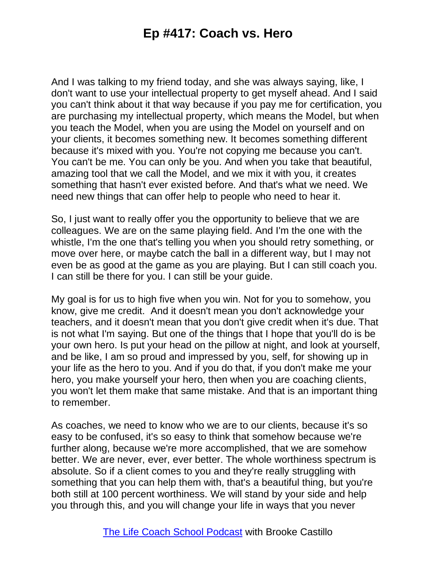And I was talking to my friend today, and she was always saying, like, I don't want to use your intellectual property to get myself ahead. And I said you can't think about it that way because if you pay me for certification, you are purchasing my intellectual property, which means the Model, but when you teach the Model, when you are using the Model on yourself and on your clients, it becomes something new. It becomes something different because it's mixed with you. You're not copying me because you can't. You can't be me. You can only be you. And when you take that beautiful, amazing tool that we call the Model, and we mix it with you, it creates something that hasn't ever existed before. And that's what we need. We need new things that can offer help to people who need to hear it.

So, I just want to really offer you the opportunity to believe that we are colleagues. We are on the same playing field. And I'm the one with the whistle, I'm the one that's telling you when you should retry something, or move over here, or maybe catch the ball in a different way, but I may not even be as good at the game as you are playing. But I can still coach you. I can still be there for you. I can still be your guide.

My goal is for us to high five when you win. Not for you to somehow, you know, give me credit. And it doesn't mean you don't acknowledge your teachers, and it doesn't mean that you don't give credit when it's due. That is not what I'm saying. But one of the things that I hope that you'll do is be your own hero. Is put your head on the pillow at night, and look at yourself, and be like, I am so proud and impressed by you, self, for showing up in your life as the hero to you. And if you do that, if you don't make me your hero, you make yourself your hero, then when you are coaching clients, you won't let them make that same mistake. And that is an important thing to remember.

As coaches, we need to know who we are to our clients, because it's so easy to be confused, it's so easy to think that somehow because we're further along, because we're more accomplished, that we are somehow better. We are never, ever, ever better. The whole worthiness spectrum is absolute. So if a client comes to you and they're really struggling with something that you can help them with, that's a beautiful thing, but you're both still at 100 percent worthiness. We will stand by your side and help you through this, and you will change your life in ways that you never